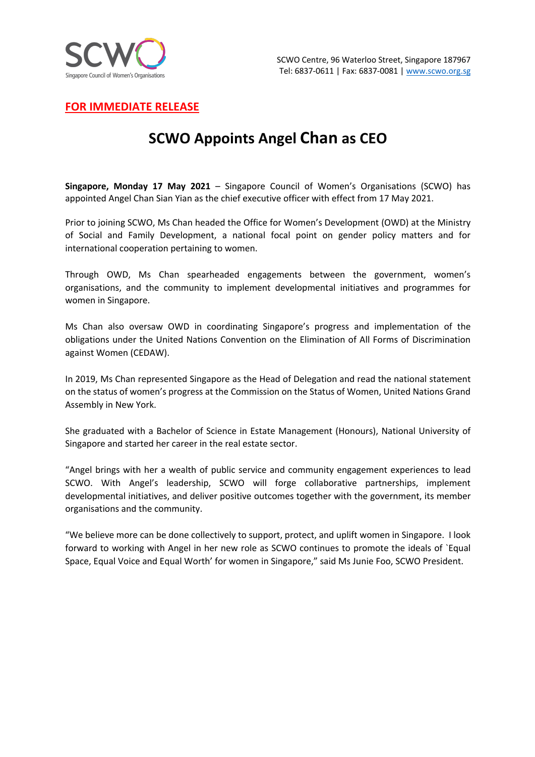

**FOR IMMEDIATE RELEASE**

## **SCWO Appoints Angel Chan as CEO**

**Singapore, Monday 17 May 2021** – Singapore Council of Women's Organisations (SCWO) has appointed Angel Chan Sian Yian as the chief executive officer with effect from 17 May 2021.

Prior to joining SCWO, Ms Chan headed the Office for Women's Development (OWD) at the Ministry of Social and Family Development, a national focal point on gender policy matters and for international cooperation pertaining to women.

Through OWD, Ms Chan spearheaded engagements between the government, women's organisations, and the community to implement developmental initiatives and programmes for women in Singapore.

Ms Chan also oversaw OWD in coordinating Singapore's progress and implementation of the obligations under the United Nations Convention on the Elimination of All Forms of Discrimination against Women (CEDAW).

In 2019, Ms Chan represented Singapore as the Head of Delegation and read the national statement on the status of women's progress at the Commission on the Status of Women, United Nations Grand Assembly in New York.

She graduated with a Bachelor of Science in Estate Management (Honours), National University of Singapore and started her career in the real estate sector.

"Angel brings with her a wealth of public service and community engagement experiences to lead SCWO. With Angel's leadership, SCWO will forge collaborative partnerships, implement developmental initiatives, and deliver positive outcomes together with the government, its member organisations and the community.

"We believe more can be done collectively to support, protect, and uplift women in Singapore. I look forward to working with Angel in her new role as SCWO continues to promote the ideals of `Equal Space, Equal Voice and Equal Worth' for women in Singapore," said Ms Junie Foo, SCWO President.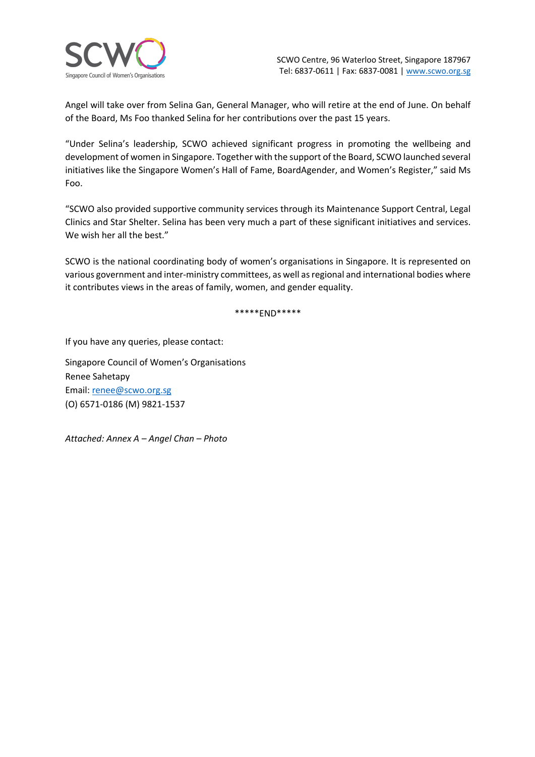

Angel will take over from Selina Gan, General Manager, who will retire at the end of June. On behalf of the Board, Ms Foo thanked Selina for her contributions over the past 15 years.

"Under Selina's leadership, SCWO achieved significant progress in promoting the wellbeing and development of women in Singapore. Together with the support of the Board, SCWO launched several initiatives like the Singapore Women's Hall of Fame, BoardAgender, and Women's Register," said Ms Foo.

"SCWO also provided supportive community services through its Maintenance Support Central, Legal Clinics and Star Shelter. Selina has been very much a part of these significant initiatives and services. We wish her all the best."

SCWO is the national coordinating body of women's organisations in Singapore. It is represented on various government and inter-ministry committees, as well as regional and international bodies where it contributes views in the areas of family, women, and gender equality.

\*\*\*\*\*END\*\*\*\*\*

If you have any queries, please contact:

Singapore Council of Women's Organisations Renee Sahetapy Email: renee@scwo.org.sg (O) 6571-0186 (M) 9821-1537

*Attached: Annex A – Angel Chan – Photo*